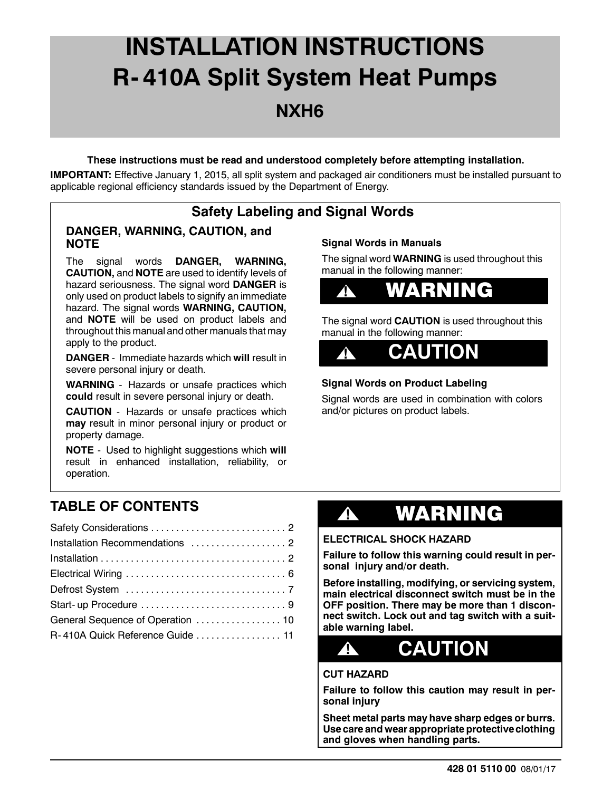# **INSTALLATION INSTRUCTIONS R- 410A Split System Heat Pumps NXH6**

#### **These instructions must be read and understood completely before attempting installation.**

**IMPORTANT:** Effective January 1, 2015, all split system and packaged air conditioners must be installed pursuant to applicable regional efficiency standards issued by the Department of Energy.

## **Safety Labeling and Signal Words**

### **DANGER, WARNING, CAUTION, and NOTE**

The signal words **DANGER, WARNING, CAUTION,** and **NOTE** are used to identify levels of hazard seriousness. The signal word **DANGER** is only used on product labels to signify an immediate hazard. The signal words **WARNING, CAUTION,** and **NOTE** will be used on product labels and throughout this manual and other manuals that may apply to the product.

**DANGER** - Immediate hazards which **will** result in severe personal injury or death.

**WARNING** - Hazards or unsafe practices which **could** result in severe personal injury or death.

**CAUTION** - Hazards or unsafe practices which **may** result in minor personal injury or product or property damage.

**NOTE** - Used to highlight suggestions which **will** result in enhanced installation, reliability, or operation.

### **Signal Words in Manuals**

The signal word **WARNING** is used throughout this manual in the following manner:



The signal word **CAUTION** is used throughout this manual in the following manner:



### **Signal Words on Product Labeling**

Signal words are used in combination with colors and/or pictures on product labels.

# **TABLE OF CONTENTS**

| Installation Recommendations  2   |  |
|-----------------------------------|--|
|                                   |  |
|                                   |  |
|                                   |  |
|                                   |  |
| General Sequence of Operation  10 |  |
| R-410A Quick Reference Guide  11  |  |

# **!** WARNING

#### **ELECTRICAL SHOCK HAZARD**

**Failure to follow this warning could result in personal injury and/or death.**

**Before installing, modifying, or servicing system, main electrical disconnect switch must be in the OFF position. There may be more than 1 disconnect switch. Lock out and tag switch with a suitable warning label.**



#### **CUT HAZARD**

**Failure to follow this caution may result in personal injury**

**Sheet metal parts may have sharp edges or burrs. Use care and wear appropriate protective clothing and gloves when handling parts.**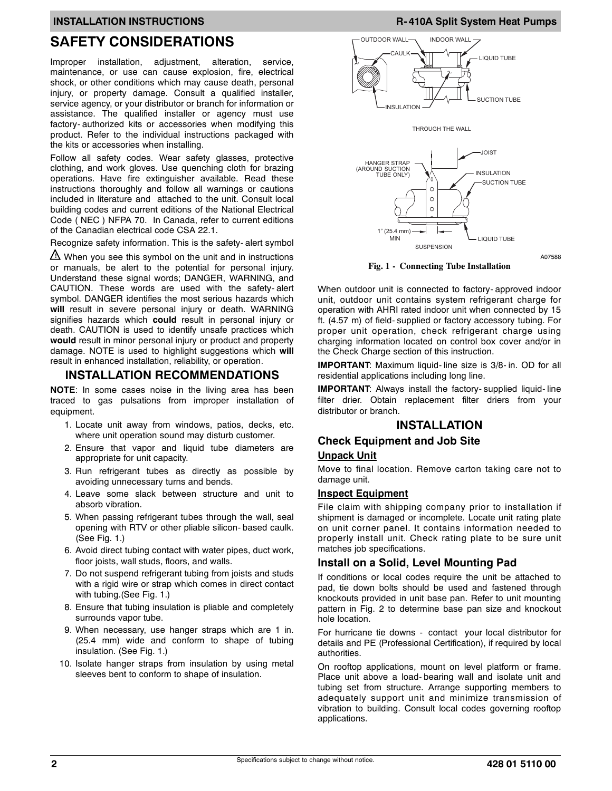### **SAFETY CONSIDERATIONS**

Improper installation, adjustment, alteration, service, maintenance, or use can cause explosion, fire, electrical shock, or other conditions which may cause death, personal injury, or property damage. Consult a qualified installer, service agency, or your distributor or branch for information or assistance. The qualified installer or agency must use factory- authorized kits or accessories when modifying this product. Refer to the individual instructions packaged with the kits or accessories when installing.

Follow all safety codes. Wear safety glasses, protective clothing, and work gloves. Use quenching cloth for brazing operations. Have fire extinguisher available. Read these instructions thoroughly and follow all warnings or cautions included in literature and attached to the unit. Consult local building codes and current editions of the National Electrical Code ( NEC ) NFPA 70. In Canada, refer to current editions of the Canadian electrical code CSA 22.1.

Recognize safety information. This is the safety- alert symbol

**!!** When you see this symbol on the unit and in instructions or manuals, be alert to the potential for personal injury. Understand these signal words; DANGER, WARNING, and CAUTION. These words are used with the safety- alert symbol. DANGER identifies the most serious hazards which **will** result in severe personal injury or death. WARNING signifies hazards which **could** result in personal injury or death. CAUTION is used to identify unsafe practices which **would** result in minor personal injury or product and property damage. NOTE is used to highlight suggestions which **will** result in enhanced installation, reliability, or operation.

#### **INSTALLATION RECOMMENDATIONS**

**NOTE**: In some cases noise in the living area has been traced to gas pulsations from improper installation of equipment.

- 1. Locate unit away from windows, patios, decks, etc. where unit operation sound may disturb customer.
- 2. Ensure that vapor and liquid tube diameters are appropriate for unit capacity.
- 3. Run refrigerant tubes as directly as possible by avoiding unnecessary turns and bends.
- 4. Leave some slack between structure and unit to absorb vibration.
- 5. When passing refrigerant tubes through the wall, seal opening with RTV or other pliable silicon- based caulk. (See Fig. 1.)
- 6. Avoid direct tubing contact with water pipes, duct work, floor joists, wall studs, floors, and walls.
- 7. Do not suspend refrigerant tubing from joists and studs with a rigid wire or strap which comes in direct contact with tubing.(See Fig. 1.)
- 8. Ensure that tubing insulation is pliable and completely surrounds vapor tube.
- 9. When necessary, use hanger straps which are 1 in. (25.4 mm) wide and conform to shape of tubing insulation. (See Fig. 1.)
- 10. Isolate hanger straps from insulation by using metal sleeves bent to conform to shape of insulation.

#### **INSTALLATION INSTRUCTIONS R- 410A Split System Heat Pumps**







A07588

**Fig. 1 - Connecting Tube Installation**

When outdoor unit is connected to factory- approved indoor unit, outdoor unit contains system refrigerant charge for operation with AHRI rated indoor unit when connected by 15 ft. (4.57 m) of field- supplied or factory accessory tubing. For proper unit operation, check refrigerant charge using charging information located on control box cover and/or in the Check Charge section of this instruction.

**IMPORTANT**: Maximum liquid- line size is 3/8- in. OD for all residential applications including long line.

**IMPORTANT**: Always install the factory- supplied liquid- line filter drier. Obtain replacement filter driers from your distributor or branch.

#### **INSTALLATION**

# **Check Equipment and Job Site**

### **Unpack Unit**

Move to final location. Remove carton taking care not to damage unit.

#### **Inspect Equipment**

File claim with shipping company prior to installation if shipment is damaged or incomplete. Locate unit rating plate on unit corner panel. It contains information needed to properly install unit. Check rating plate to be sure unit matches job specifications.

#### **Install on a Solid, Level Mounting Pad**

If conditions or local codes require the unit be attached to pad, tie down bolts should be used and fastened through knockouts provided in unit base pan. Refer to unit mounting pattern in Fig. 2 to determine base pan size and knockout hole location.

For hurricane tie downs - contact your local distributor for details and PE (Professional Certification), if required by local authorities.

On rooftop applications, mount on level platform or frame. Place unit above a load- bearing wall and isolate unit and tubing set from structure. Arrange supporting members to adequately support unit and minimize transmission of vibration to building. Consult local codes governing rooftop applications.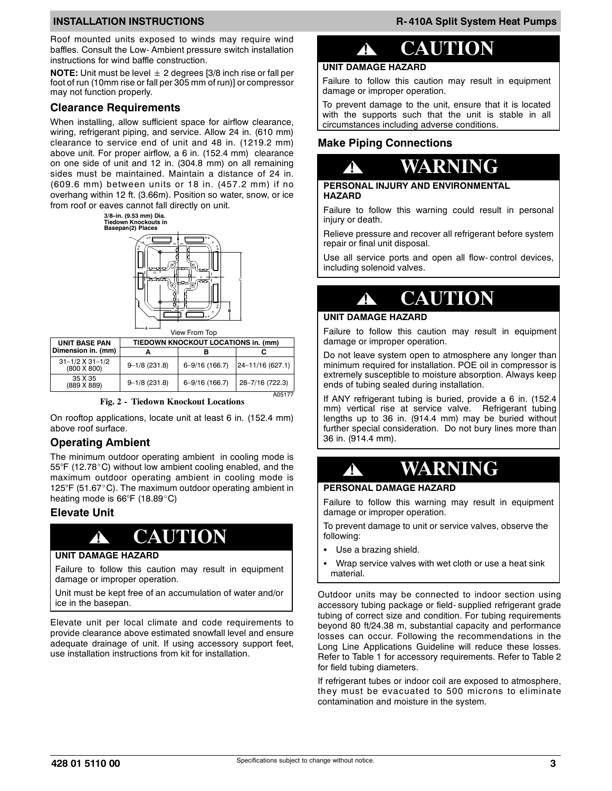Roof mounted units exposed to winds may require wind baffles. Consult the Low- Ambient pressure switch installation instructions for wind baffle construction.

**NOTE:** Unit must be level  $\pm$  2 degrees [3/8 inch rise or fall per foot of run (10mm rise or fall per 305 mm of run)] or compressor may not function properly.

#### **Clearance Requirements**

When installing, allow sufficient space for airflow clearance, wiring, refrigerant piping, and service. Allow 24 in. (610 mm) clearance to service end of unit and 48 in. (1219.2 mm) above unit. For proper airflow, a 6 in. (152.4 mm) clearance on one side of unit and 12 in. (304.8 mm) on all remaining sides must be maintained. Maintain a distance of 24 in. (609.6 mm) between units or 18 in. (457.2 mm) if no overhang within 12 ft. (3.66m). Position so water, snow, or ice from roof or eaves cannot fall directly on unit.



|  | View From Top |  |
|--|---------------|--|
|  |               |  |

|                        | <b>UNIT BASE PAN</b>                      | TIEDOWN KNOCKOUT LOCATIONS in. (mm) |                    |                  |  |  |  |  |
|------------------------|-------------------------------------------|-------------------------------------|--------------------|------------------|--|--|--|--|
| Dimension in. (mm)     |                                           |                                     | в                  |                  |  |  |  |  |
|                        | $31 - 1/2 \times 31 - 1/2$<br>(800 X 800) | $9 - 1/8$ (231.8)                   | $6 - 9/16$ (166.7) | 24-11/16 (627.1) |  |  |  |  |
| 35 X 35<br>(889 X 889) |                                           | $9 - 1/8$ (231.8)                   | $6 - 9/16$ (166.7) | 28-7/16 (722.3)  |  |  |  |  |
|                        |                                           |                                     |                    | A0517            |  |  |  |  |



On rooftop applications, locate unit at least 6 in. (152.4 mm) above roof surface.

#### **Operating Ambient**

The minimum outdoor operating ambient in cooling mode is 55°F (12.78°C) without low ambient cooling enabled, and the maximum outdoor operating ambient in cooling mode is 125°F (51.67°C). The maximum outdoor operating ambient in heating mode is  $66^{\circ}F$  (18.89 $^{\circ}C$ )

#### **Elevate Unit**

# **! CAUTION**

#### **UNIT DAMAGE HAZARD**

Failure to follow this caution may result in equipment damage or improper operation.

Unit must be kept free of an accumulation of water and/or ice in the basepan.

Elevate unit per local climate and code requirements to provide clearance above estimated snowfall level and ensure adequate drainage of unit. If using accessory support feet, use installation instructions from kit for installation.

# **! CAUTION**

#### **UNIT DAMAGE HAZARD**

Failure to follow this caution may result in equipment damage or improper operation.

To prevent damage to the unit, ensure that it is located with the supports such that the unit is stable in all circumstances including adverse conditions.

#### **Make Piping Connections**



#### **PERSONAL INJURY AND ENVIRONMENTAL HAZARD**

Failure to follow this warning could result in personal injury or death.

Relieve pressure and recover all refrigerant before system repair or final unit disposal.

Use all service ports and open all flow- control devices, including solenoid valves.

# **! CAUTION**

#### **UNIT DAMAGE HAZARD**

Failure to follow this caution may result in equipment damage or improper operation.

Do not leave system open to atmosphere any longer than minimum required for installation. POE oil in compressor is extremely susceptible to moisture absorption. Always keep ends of tubing sealed during installation.

If ANY refrigerant tubing is buried, provide a 6 in. (152.4 mm) vertical rise at service valve. Refrigerant tubing lengths up to 36 in. (914.4 mm) may be buried without further special consideration. Do not bury lines more than 36 in. (914.4 mm).

# **! WARNING**

#### **PERSONAL DAMAGE HAZARD**

Failure to follow this warning may result in equipment damage or improper operation.

To prevent damage to unit or service valves, observe the following:

- Use a brazing shield.
- Wrap service valves with wet cloth or use a heat sink material.

Outdoor units may be connected to indoor section using accessory tubing package or field- supplied refrigerant grade tubing of correct size and condition. For tubing requirements beyond 80 ft/24.38 m, substantial capacity and performance losses can occur. Following the recommendations in the Long Line Applications Guideline will reduce these losses. Refer to Table 1 for accessory requirements. Refer to Table 2 for field tubing diameters.

If refrigerant tubes or indoor coil are exposed to atmosphere, they must be evacuated to 500 microns to eliminate contamination and moisture in the system.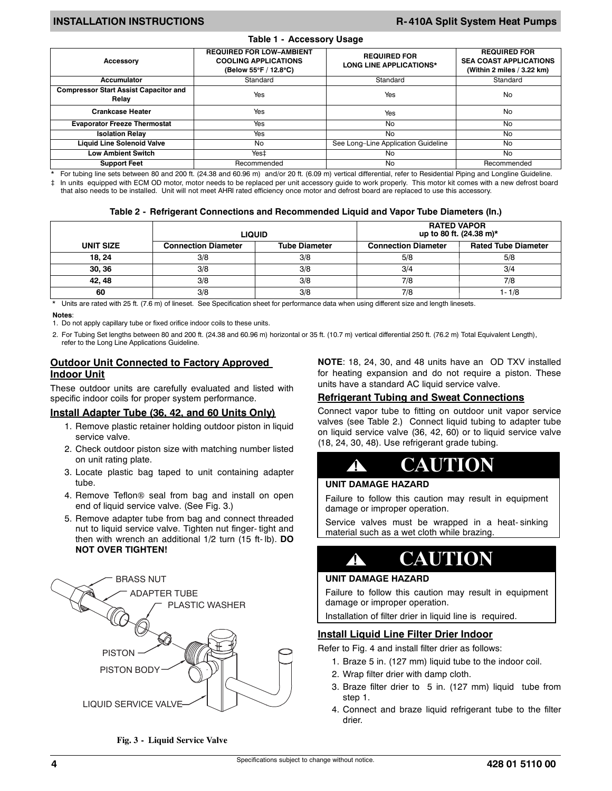#### **INSTALLATION INSTRUCTIONS R- 410A Split System Heat Pumps**

| $14010 + 700000001$                                   |                                                                                         |                                                       |                                                                                    |  |  |  |  |  |  |
|-------------------------------------------------------|-----------------------------------------------------------------------------------------|-------------------------------------------------------|------------------------------------------------------------------------------------|--|--|--|--|--|--|
| <b>Accessory</b>                                      | <b>REQUIRED FOR LOW-AMBIENT</b><br><b>COOLING APPLICATIONS</b><br>(Below 55°F / 12.8°C) | <b>REQUIRED FOR</b><br><b>LONG LINE APPLICATIONS*</b> | <b>REQUIRED FOR</b><br><b>SEA COAST APPLICATIONS</b><br>(Within 2 miles / 3.22 km) |  |  |  |  |  |  |
| Accumulator                                           | Standard                                                                                | Standard                                              | Standard                                                                           |  |  |  |  |  |  |
| <b>Compressor Start Assist Capacitor and</b><br>Relay | Yes                                                                                     | Yes                                                   | No.                                                                                |  |  |  |  |  |  |
| <b>Crankcase Heater</b>                               | Yes                                                                                     | Yes                                                   | No                                                                                 |  |  |  |  |  |  |
| <b>Evaporator Freeze Thermostat</b>                   | <b>Yes</b>                                                                              | No                                                    | <b>No</b>                                                                          |  |  |  |  |  |  |
| <b>Isolation Relay</b>                                | <b>Yes</b>                                                                              | No                                                    | No                                                                                 |  |  |  |  |  |  |
| <b>Liquid Line Solenoid Valve</b>                     | No                                                                                      | See Long-Line Application Guideline                   | No                                                                                 |  |  |  |  |  |  |
| <b>Low Ambient Switch</b>                             | Yes‡                                                                                    | No                                                    | No                                                                                 |  |  |  |  |  |  |
| <b>Support Feet</b>                                   | Recommended                                                                             | No                                                    | Recommended                                                                        |  |  |  |  |  |  |

**Table 1 - Accessory Usage**

\* For tubing line sets between 80 and 200 ft. (24.38 and 60.96 m) and/or 20 ft. (6.09 m) vertical differential, refer to Residential Piping and Longline Guideline. } In units equipped with ECM OD motor, motor needs to be replaced per unit accessory guide to work properly. This motor kit comes with a new defrost board

that also needs to be installed. Unit will not meet AHRI rated efficiency once motor and defrost board are replaced to use this accessory.

| Table 2- Refrigerant Connections and Recommended Liquid and Vapor Tube Diameters (In.) |  |  |  |  |  |
|----------------------------------------------------------------------------------------|--|--|--|--|--|
|----------------------------------------------------------------------------------------|--|--|--|--|--|

|           |                            | <b>LIQUID</b>        | <b>RATED VAPOR</b><br>up to 80 ft. (24.38 m)* |                            |  |  |
|-----------|----------------------------|----------------------|-----------------------------------------------|----------------------------|--|--|
| UNIT SIZE | <b>Connection Diameter</b> | <b>Tube Diameter</b> | <b>Connection Diameter</b>                    | <b>Rated Tube Diameter</b> |  |  |
| 18, 24    | 3/8                        | 3/8                  | 5/8                                           | 5/8                        |  |  |
| 30, 36    | 3/8                        | 3/8                  | 3/4                                           | 3/4                        |  |  |
| 42.48     | 3/8                        | 3/8                  | 7/8                                           | 7/8                        |  |  |
| 60        | 3/8                        | 3/8                  | 7/8                                           | $1 - 1/8$                  |  |  |

\* Units are rated with 25 ft. (7.6 m) of lineset. See Specification sheet for performance data when using different size and length linesets.

#### **Notes**:

1. Do not apply capillary tube or fixed orifice indoor coils to these units.

2. For Tubing Set lengths between 80 and 200 ft. (24.38 and 60.96 m) horizontal or 35 ft. (10.7 m) vertical differential 250 ft. (76.2 m) Total Equivalent Length), refer to the Long Line Applications Guideline.

#### **Outdoor Unit Connected to Factory Approved Indoor Unit**

These outdoor units are carefully evaluated and listed with specific indoor coils for proper system performance.

#### **Install Adapter Tube (36, 42, and 60 Units Only)**

- 1. Remove plastic retainer holding outdoor piston in liquid service valve.
- 2. Check outdoor piston size with matching number listed on unit rating plate.
- 3. Locate plastic bag taped to unit containing adapter tube.
- 4. Remove Teflon<sup>®</sup> seal from bag and install on open end of liquid service valve. (See Fig. 3.)
- 5. Remove adapter tube from bag and connect threaded nut to liquid service valve. Tighten nut finger- tight and then with wrench an additional 1/2 turn (15 ft- lb). **DO NOT OVER TIGHTEN!**



**Fig. 3 - Liquid Service Valve**

**NOTE**: 18, 24, 30, and 48 units have an OD TXV installed for heating expansion and do not require a piston. These units have a standard AC liquid service valve.

#### **Refrigerant Tubing and Sweat Connections**

Connect vapor tube to fitting on outdoor unit vapor service valves (see Table 2.) Connect liquid tubing to adapter tube on liquid service valve (36, 42, 60) or to liquid service valve (18, 24, 30, 48). Use refrigerant grade tubing.



#### **UNIT DAMAGE HAZARD**

Failure to follow this caution may result in equipment damage or improper operation.

Service valves must be wrapped in a heat- sinking material such as a wet cloth while brazing.

# **! CAUTION**

#### **UNIT DAMAGE HAZARD**

Failure to follow this caution may result in equipment damage or improper operation.

Installation of filter drier in liquid line is required.

#### **Install Liquid Line Filter Drier Indoor**

Refer to Fig. 4 and install filter drier as follows:

- 1. Braze 5 in. (127 mm) liquid tube to the indoor coil.
- 2. Wrap filter drier with damp cloth.
- 3. Braze filter drier to 5 in. (127 mm) liquid tube from step 1.
- 4. Connect and braze liquid refrigerant tube to the filter drier.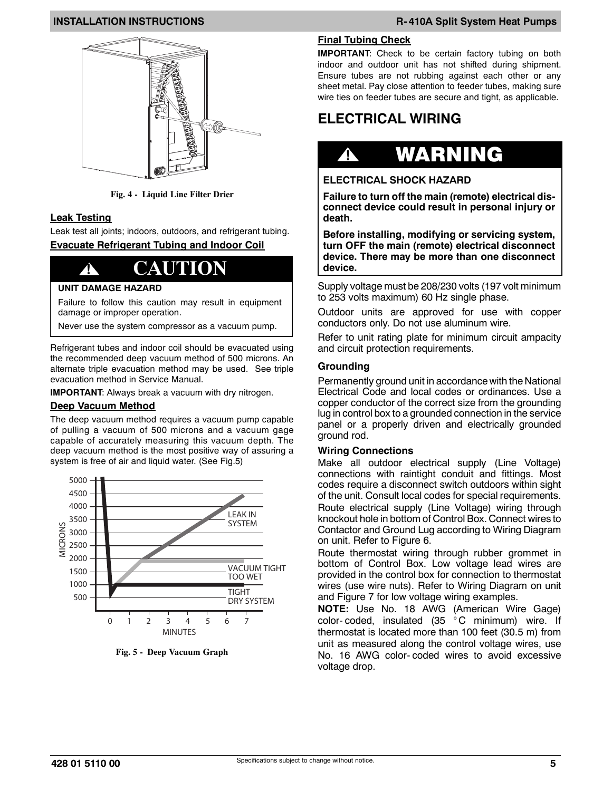

**Fig. 4 - Liquid Line Filter Drier**

### **Leak Testing**

Leak test all joints; indoors, outdoors, and refrigerant tubing. **Evacuate Refrigerant Tubing and Indoor Coil**

# **! CAUTION**

#### **UNIT DAMAGE HAZARD**

Failure to follow this caution may result in equipment damage or improper operation.

Never use the system compressor as a vacuum pump.

Refrigerant tubes and indoor coil should be evacuated using the recommended deep vacuum method of 500 microns. An alternate triple evacuation method may be used. See triple evacuation method in Service Manual.

**IMPORTANT**: Always break a vacuum with dry nitrogen.

### **Deep Vacuum Method**

The deep vacuum method requires a vacuum pump capable of pulling a vacuum of 500 microns and a vacuum gage capable of accurately measuring this vacuum depth. The deep vacuum method is the most positive way of assuring a system is free of air and liquid water. (See Fig.5)



**Fig. 5 - Deep Vacuum Graph**

#### **Final Tubing Check**

**IMPORTANT**: Check to be certain factory tubing on both indoor and outdoor unit has not shifted during shipment. Ensure tubes are not rubbing against each other or any sheet metal. Pay close attention to feeder tubes, making sure wire ties on feeder tubes are secure and tight, as applicable.

# **ELECTRICAL WIRING**

# **!** WARNING

### **ELECTRICAL SHOCK HAZARD**

**Failure to turn off the main (remote) electrical disconnect device could result in personal injury or death.**

**Before installing, modifying or servicing system, turn OFF the main (remote) electrical disconnect device. There may be more than one disconnect device.**

Supply voltage must be 208/230 volts (197 volt minimum to 253 volts maximum) 60 Hz single phase.

Outdoor units are approved for use with copper conductors only. Do not use aluminum wire.

Refer to unit rating plate for minimum circuit ampacity and circuit protection requirements.

#### **Grounding**

Permanently ground unit in accordance with the National Electrical Code and local codes or ordinances. Use a copper conductor of the correct size from the grounding lug in control box to a grounded connection in the service panel or a properly driven and electrically grounded ground rod.

#### **Wiring Connections**

Make all outdoor electrical supply (Line Voltage) connections with raintight conduit and fittings. Most codes require a disconnect switch outdoors within sight of the unit. Consult local codes for special requirements. Route electrical supply (Line Voltage) wiring through knockout hole in bottom of Control Box. Connect wires to Contactor and Ground Lug according to Wiring Diagram on unit. Refer to Figure 6.

Route thermostat wiring through rubber grommet in bottom of Control Box. Low voltage lead wires are provided in the control box for connection to thermostat wires (use wire nuts). Refer to Wiring Diagram on unit and Figure 7 for low voltage wiring examples.

**NOTE:** Use No. 18 AWG (American Wire Gage) color- coded, insulated (35 ° C minimum) wire. If thermostat is located more than 100 feet (30.5 m) from unit as measured along the control voltage wires, use No. 16 AWG color- coded wires to avoid excessive voltage drop.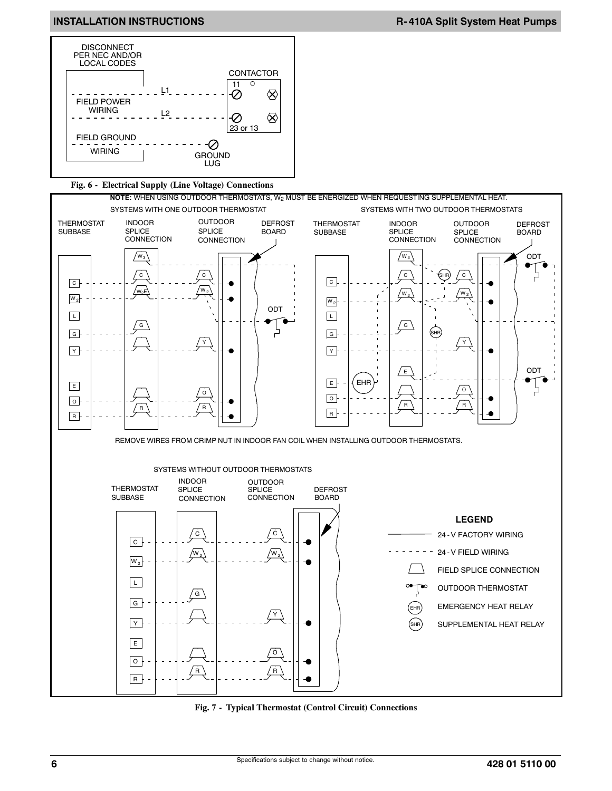

#### **Fig. 6 - Electrical Supply (Line Voltage) Connections**





**Fig. 7 - Typical Thermostat (Control Circuit) Connections**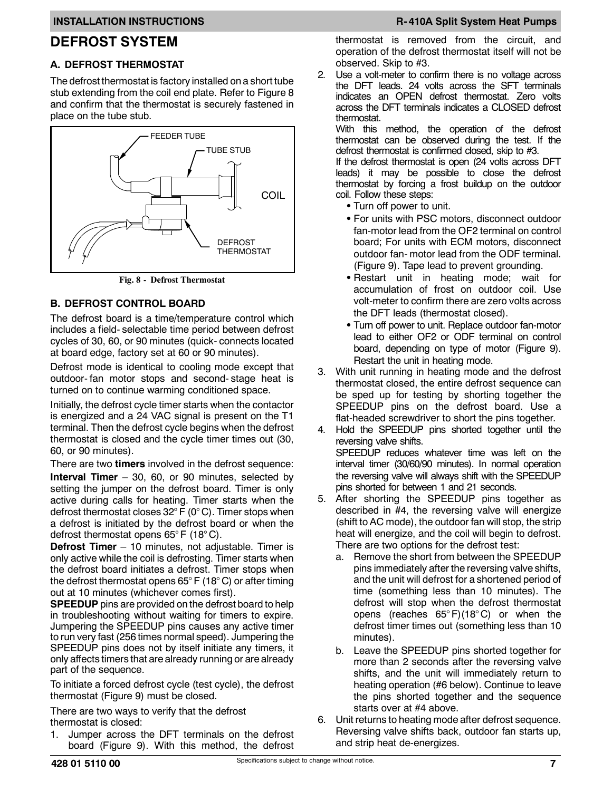### **DEFROST SYSTEM**

#### **A. DEFROST THERMOSTAT**

The defrost thermostat is factory installed on a short tube stub extending from the coil end plate. Refer to Figure 8 and confirm that the thermostat is securely fastened in place on the tube stub.



**Fig. 8 - Defrost Thermostat**

#### **B. DEFROST CONTROL BOARD**

The defrost board is a time/temperature control which includes a field- selectable time period between defrost cycles of 30, 60, or 90 minutes (quick- connects located at board edge, factory set at 60 or 90 minutes).

Defrost mode is identical to cooling mode except that outdoor- fan motor stops and second- stage heat is turned on to continue warming conditioned space.

Initially, the defrost cycle timer starts when the contactor is energized and a 24 VAC signal is present on the T1 terminal. Then the defrost cycle begins when the defrost thermostat is closed and the cycle timer times out (30, 60, or 90 minutes).

There are two **timers** involved in the defrost sequence:

**Interval Timer** – 30, 60, or 90 minutes, selected by setting the jumper on the defrost board. Timer is only active during calls for heating. Timer starts when the defrost thermostat closes 32° F (0° C). Timer stops when a defrost is initiated by the defrost board or when the defrost thermostat opens 65° F (18° C).

**Defrost Timer** – 10 minutes, not adjustable. Timer is only active while the coil is defrosting. Timer starts when the defrost board initiates a defrost. Timer stops when the defrost thermostat opens 65° F (18° C) or after timing out at 10 minutes (whichever comes first).

**SPEEDUP** pins are provided on the defrost board to help in troubleshooting without waiting for timers to expire. Jumpering the SPEEDUP pins causes any active timer to run very fast (256 times normal speed). Jumpering the SPEEDUP pins does not by itself initiate any timers, it only affects timers that are already running or are already part of the sequence.

To initiate a forced defrost cycle (test cycle), the defrost thermostat (Figure 9) must be closed.

There are two ways to verify that the defrost thermostat is closed:

1. Jumper across the DFT terminals on the defrost board (Figure 9). With this method, the defrost

thermostat is removed from the circuit, and operation of the defrost thermostat itself will not be observed. Skip to #3.

2. Use a volt-meter to confirm there is no voltage across the DFT leads. 24 volts across the SFT terminals indicates an OPEN defrost thermostat. Zero volts across the DFT terminals indicates a CLOSED defrost thermostat.

With this method, the operation of the defrost thermostat can be observed during the test. If the defrost thermostat is confirmed closed, skip to #3.

If the defrost thermostat is open (24 volts across DFT leads) it may be possible to close the defrost thermostat by forcing a frost buildup on the outdoor coil. Follow these steps:

- Turn off power to unit.
- For units with PSC motors, disconnect outdoor fan-motor lead from the OF2 terminal on control board; For units with ECM motors, disconnect outdoor fan- motor lead from the ODF terminal. (Figure 9). Tape lead to prevent grounding.
- Restart unit in heating mode; wait for accumulation of frost on outdoor coil. Use volt-meter to confirm there are zero volts across the DFT leads (thermostat closed).
- Turn off power to unit. Replace outdoor fan-motor lead to either OF2 or ODF terminal on control board, depending on type of motor (Figure 9). Restart the unit in heating mode.
- 3. With unit running in heating mode and the defrost thermostat closed, the entire defrost sequence can be sped up for testing by shorting together the SPEEDUP pins on the defrost board. Use a flat-headed screwdriver to short the pins together.
- 4. Hold the SPEEDUP pins shorted together until the reversing valve shifts. SPEEDUP reduces whatever time was left on the interval timer (30/60/90 minutes). In normal operation the reversing valve will always shift with the SPEEDUP pins shorted for between 1 and 21 seconds.
- 5. After shorting the SPEEDUP pins together as described in #4, the reversing valve will energize (shift to AC mode), the outdoor fan will stop, the strip heat will energize, and the coil will begin to defrost. There are two options for the defrost test:
	- a. Remove the short from between the SPEEDUP pins immediately after the reversing valve shifts, and the unit will defrost for a shortened period of time (something less than 10 minutes). The defrost will stop when the defrost thermostat opens (reaches 65° F)(18° C) or when the defrost timer times out (something less than 10 minutes).
	- b. Leave the SPEEDUP pins shorted together for more than 2 seconds after the reversing valve shifts, and the unit will immediately return to heating operation (#6 below). Continue to leave the pins shorted together and the sequence starts over at #4 above.
- 6. Unit returns to heating mode after defrost sequence. Reversing valve shifts back, outdoor fan starts up, and strip heat de-energizes.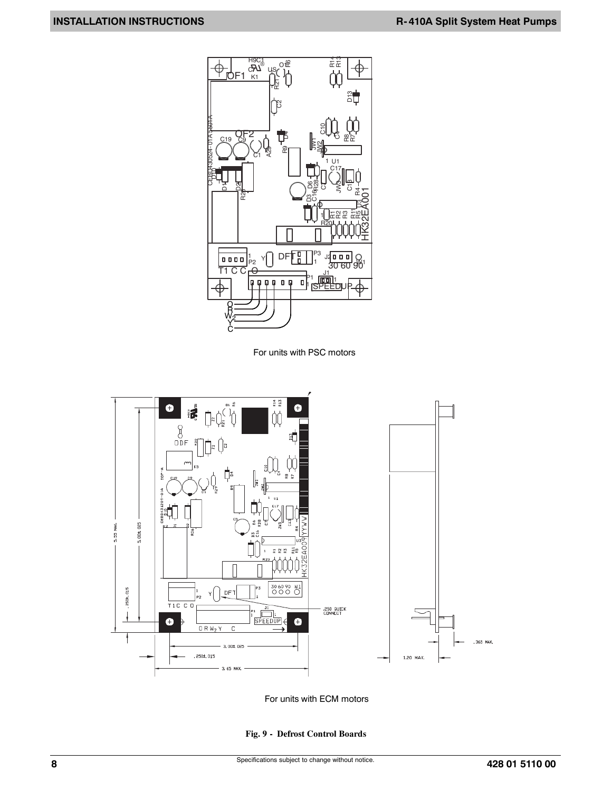

For units with PSC motors



For units with ECM motors

#### **Fig. 9 - Defrost Control Boards**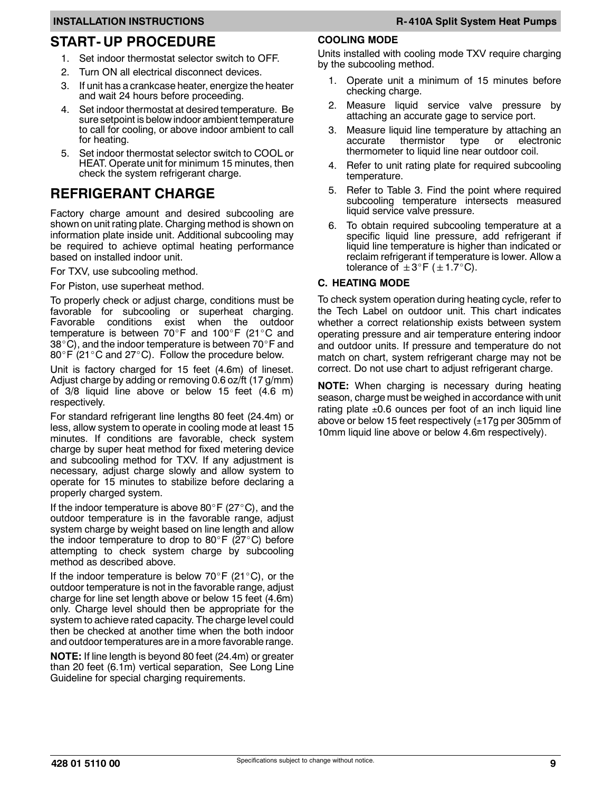## **START- UP PROCEDURE**

- 1. Set indoor thermostat selector switch to OFF.
- 2. Turn ON all electrical disconnect devices.
- 3. If unit has a crankcase heater, energize the heater and wait 24 hours before proceeding.
- 4. Set indoor thermostat at desired temperature. Be sure setpoint is below indoor ambient temperature to call for cooling, or above indoor ambient to call for heating.
- 5. Set indoor thermostat selector switch to COOL or HEAT. Operate unit for minimum 15 minutes, then check the system refrigerant charge.

## **REFRIGERANT CHARGE**

Factory charge amount and desired subcooling are shown on unit rating plate. Charging method is shown on information plate inside unit. Additional subcooling may be required to achieve optimal heating performance based on installed indoor unit.

For TXV, use subcooling method.

For Piston, use superheat method.

To properly check or adjust charge, conditions must be favorable for subcooling or superheat charging.<br>Favorable conditions exist when the outdoor Favorable conditions exist when the temperature is between 70°F and 100°F (21°C and 38 $^{\circ}$ C), and the indoor temperature is between 70 $^{\circ}$ F and  $80^\circ$ F (21 $^\circ$ C and 27 $^\circ$ C). Follow the procedure below.

Unit is factory charged for 15 feet (4.6m) of lineset. Adjust charge by adding or removing 0.6 oz/ft (17 g/mm) of 3/8 liquid line above or below 15 feet (4.6 m) respectively.

For standard refrigerant line lengths 80 feet (24.4m) or less, allow system to operate in cooling mode at least 15 minutes. If conditions are favorable, check system charge by super heat method for fixed metering device and subcooling method for TXV. If any adjustment is necessary, adjust charge slowly and allow system to operate for 15 minutes to stabilize before declaring a properly charged system.

If the indoor temperature is above 80 $\degree$ F (27 $\degree$ C), and the outdoor temperature is in the favorable range, adjust system charge by weight based on line length and allow the indoor temperature to drop to 80 $\degree$ F (27 $\degree$ C) before attempting to check system charge by subcooling method as described above.

If the indoor temperature is below 70 $\degree$ F (21 $\degree$ C), or the outdoor temperature is not in the favorable range, adjust charge for line set length above or below 15 feet (4.6m) only. Charge level should then be appropriate for the system to achieve rated capacity. The charge level could then be checked at another time when the both indoor and outdoor temperatures are in a more favorable range.

**NOTE:** If line length is beyond 80 feet (24.4m) or greater than 20 feet (6.1m) vertical separation, See Long Line Guideline for special charging requirements.

#### **COOLING MODE**

Units installed with cooling mode TXV require charging by the subcooling method.

- 1. Operate unit a minimum of 15 minutes before checking charge.
- 2. Measure liquid service valve pressure by attaching an accurate gage to service port.
- 3. Measure liquid line temperature by attaching an accurate thermistor type or electronic thermometer to liquid line near outdoor coil.
- 4. Refer to unit rating plate for required subcooling temperature.
- 5. Refer to Table 3. Find the point where required subcooling temperature intersects measured liquid service valve pressure.
- 6. To obtain required subcooling temperature at a specific liquid line pressure, add refrigerant if liquid line temperature is higher than indicated or reclaim refrigerant if temperature is lower. Allow a tolerance of  $\pm 3^\circ$ F ( $\pm 1.7^\circ$ C).

#### **C. HEATING MODE**

To check system operation during heating cycle, refer to the Tech Label on outdoor unit. This chart indicates whether a correct relationship exists between system operating pressure and air temperature entering indoor and outdoor units. If pressure and temperature do not match on chart, system refrigerant charge may not be correct. Do not use chart to adjust refrigerant charge.

**NOTE:** When charging is necessary during heating season, charge must be weighed in accordance with unit rating plate  $\pm 0.6$  ounces per foot of an inch liquid line above or below 15 feet respectively  $(\pm 17q$  per 305mm of 10mm liquid line above or below 4.6m respectively).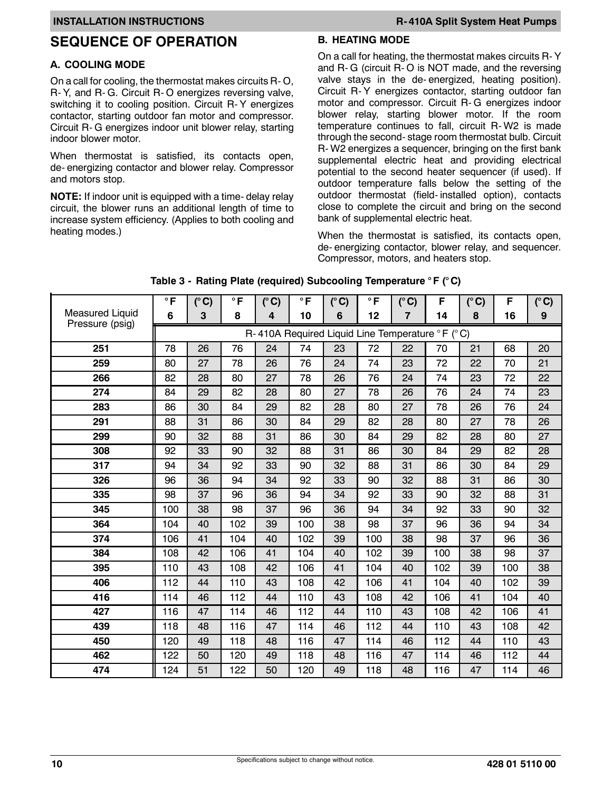## **SEQUENCE OF OPERATION**

#### **A. COOLING MODE**

On a call for cooling, the thermostat makes circuits R- O, R- Y, and R- G. Circuit R- O energizes reversing valve, switching it to cooling position. Circuit R- Y energizes contactor, starting outdoor fan motor and compressor. Circuit R- G energizes indoor unit blower relay, starting indoor blower motor.

When thermostat is satisfied, its contacts open, de- energizing contactor and blower relay. Compressor and motors stop.

**NOTE:** If indoor unit is equipped with a time- delay relay circuit, the blower runs an additional length of time to increase system efficiency. (Applies to both cooling and heating modes.)

#### **B. HEATING MODE**

On a call for heating, the thermostat makes circuits R- Y and R- G (circuit R- O is NOT made, and the reversing valve stays in the de- energized, heating position). Circuit R- Y energizes contactor, starting outdoor fan motor and compressor. Circuit R- G energizes indoor blower relay, starting blower motor. If the room temperature continues to fall, circuit R- W2 is made through the second- stage room thermostat bulb. Circuit R- W2 energizes a sequencer, bringing on the first bank supplemental electric heat and providing electrical potential to the second heater sequencer (if used). If outdoor temperature falls below the setting of the outdoor thermostat (field- installed option), contacts close to complete the circuit and bring on the second bank of supplemental electric heat.

When the thermostat is satisfied, its contacts open, de- energizing contactor, blower relay, and sequencer. Compressor, motors, and heaters stop.

|                                           | $\circ$ F                                       | $(^{\circ}C)$ | $\circ$ F | $(^{\circ}C)$ | $\circ$ F | $(^{\circ}C)$ | $\circ$ F | $(^{\circ}C)$ | F   | $(^{\circ}C)$ | F   | $(^{\circ}C)$ |
|-------------------------------------------|-------------------------------------------------|---------------|-----------|---------------|-----------|---------------|-----------|---------------|-----|---------------|-----|---------------|
| <b>Measured Liquid</b><br>Pressure (psig) | 6                                               | 3             | 8         | 4             | 10        | 6             | 12        | 7             | 14  | 8             | 16  | 9             |
|                                           | R-410A Required Liquid Line Temperature °F (°C) |               |           |               |           |               |           |               |     |               |     |               |
| 251                                       | 78                                              | 26            | 76        | 24            | 74        | 23            | 72        | 22            | 70  | 21            | 68  | 20            |
| 259                                       | 80                                              | 27            | 78        | 26            | 76        | 24            | 74        | 23            | 72  | 22            | 70  | 21            |
| 266                                       | 82                                              | 28            | 80        | 27            | 78        | 26            | 76        | 24            | 74  | 23            | 72  | 22            |
| 274                                       | 84                                              | 29            | 82        | 28            | 80        | 27            | 78        | 26            | 76  | 24            | 74  | 23            |
| 283                                       | 86                                              | 30            | 84        | 29            | 82        | 28            | 80        | 27            | 78  | 26            | 76  | 24            |
| 291                                       | 88                                              | 31            | 86        | 30            | 84        | 29            | 82        | 28            | 80  | 27            | 78  | 26            |
| 299                                       | 90                                              | 32            | 88        | 31            | 86        | 30            | 84        | 29            | 82  | 28            | 80  | 27            |
| 308                                       | 92                                              | 33            | 90        | 32            | 88        | 31            | 86        | 30            | 84  | 29            | 82  | 28            |
| 317                                       | 94                                              | 34            | 92        | 33            | 90        | 32            | 88        | 31            | 86  | 30            | 84  | 29            |
| 326                                       | 96                                              | 36            | 94        | 34            | 92        | 33            | 90        | 32            | 88  | 31            | 86  | 30            |
| 335                                       | 98                                              | 37            | 96        | 36            | 94        | 34            | 92        | 33            | 90  | 32            | 88  | 31            |
| 345                                       | 100                                             | 38            | 98        | 37            | 96        | 36            | 94        | 34            | 92  | 33            | 90  | 32            |
| 364                                       | 104                                             | 40            | 102       | 39            | 100       | 38            | 98        | 37            | 96  | 36            | 94  | 34            |
| 374                                       | 106                                             | 41            | 104       | 40            | 102       | 39            | 100       | 38            | 98  | 37            | 96  | 36            |
| 384                                       | 108                                             | 42            | 106       | 41            | 104       | 40            | 102       | 39            | 100 | 38            | 98  | 37            |
| 395                                       | 110                                             | 43            | 108       | 42            | 106       | 41            | 104       | 40            | 102 | 39            | 100 | 38            |
| 406                                       | 112                                             | 44            | 110       | 43            | 108       | 42            | 106       | 41            | 104 | 40            | 102 | 39            |
| 416                                       | 114                                             | 46            | 112       | 44            | 110       | 43            | 108       | 42            | 106 | 41            | 104 | 40            |
| 427                                       | 116                                             | 47            | 114       | 46            | 112       | 44            | 110       | 43            | 108 | 42            | 106 | 41            |
| 439                                       | 118                                             | 48            | 116       | 47            | 114       | 46            | 112       | 44            | 110 | 43            | 108 | 42            |
| 450                                       | 120                                             | 49            | 118       | 48            | 116       | 47            | 114       | 46            | 112 | 44            | 110 | 43            |
| 462                                       | 122                                             | 50            | 120       | 49            | 118       | 48            | 116       | 47            | 114 | 46            | 112 | 44            |
| 474                                       | 124                                             | 51            | 122       | 50            | 120       | 49            | 118       | 48            | 116 | 47            | 114 | 46            |

**Table 3 - Rating Plate (required) Subcooling Temperature ° F (° C)**